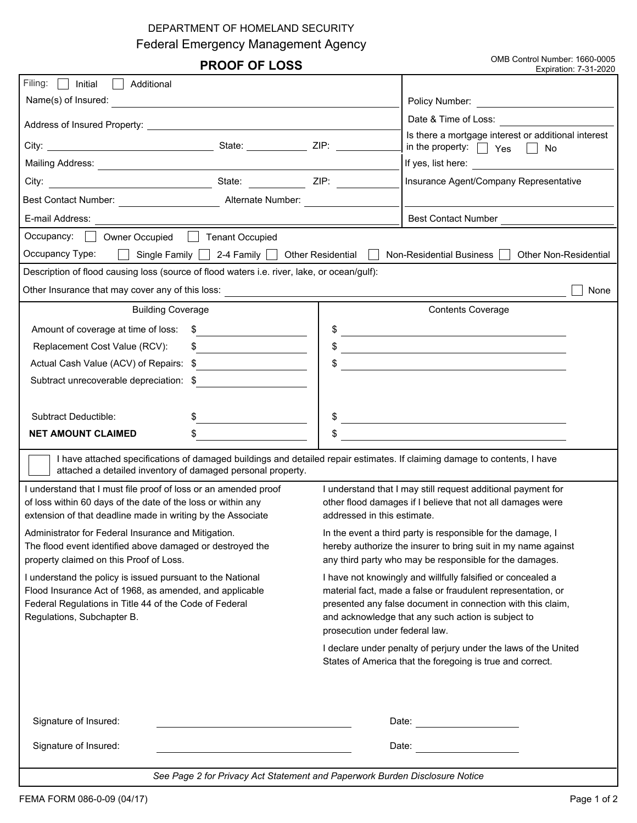## DEPARTMENT OF HOMELAND SECURITY

Federal Emergency Management Agency

**PROOF OF LOSS**<br>
Expiration: 7-31-2020<br>
Expiration: 7-31-2020 Expiration: 7-31-2020

| Filing:<br>Initial<br>Additional<br>a a l                                                                                                                                                                                                                                                                                                              |                                                                                                                                                                                                                                                                                    |  |  |
|--------------------------------------------------------------------------------------------------------------------------------------------------------------------------------------------------------------------------------------------------------------------------------------------------------------------------------------------------------|------------------------------------------------------------------------------------------------------------------------------------------------------------------------------------------------------------------------------------------------------------------------------------|--|--|
| Name(s) of Insured:                                                                                                                                                                                                                                                                                                                                    | Policy Number: <u>_______________________</u>                                                                                                                                                                                                                                      |  |  |
|                                                                                                                                                                                                                                                                                                                                                        | Date & Time of Loss: <u>________________</u>                                                                                                                                                                                                                                       |  |  |
| $\boxed{\blacksquare}$ ZIP:                                                                                                                                                                                                                                                                                                                            | Is there a mortgage interest or additional interest<br>in the property: $\Box$ Yes $\Box$ No                                                                                                                                                                                       |  |  |
|                                                                                                                                                                                                                                                                                                                                                        | If yes, list here:                                                                                                                                                                                                                                                                 |  |  |
| $\blacksquare$ ZIP:                                                                                                                                                                                                                                                                                                                                    | Insurance Agent/Company Representative                                                                                                                                                                                                                                             |  |  |
| Best Contact Number: <u>New York Contact Number</u> Alternate Number:                                                                                                                                                                                                                                                                                  |                                                                                                                                                                                                                                                                                    |  |  |
| E-mail Address:                                                                                                                                                                                                                                                                                                                                        | <b>Best Contact Number</b>                                                                                                                                                                                                                                                         |  |  |
| Occupancy: Owner Occupied Tenant Occupied                                                                                                                                                                                                                                                                                                              |                                                                                                                                                                                                                                                                                    |  |  |
| Occupancy Type:<br>Single Family   2-4 Family   Other Residential<br>$\perp$<br>Non-Residential Business<br><b>Other Non-Residential</b>                                                                                                                                                                                                               |                                                                                                                                                                                                                                                                                    |  |  |
| Description of flood causing loss (source of flood waters i.e. river, lake, or ocean/gulf):                                                                                                                                                                                                                                                            |                                                                                                                                                                                                                                                                                    |  |  |
| Other Insurance that may cover any of this loss: <b>container the container and container and container and container</b>                                                                                                                                                                                                                              | None                                                                                                                                                                                                                                                                               |  |  |
| <b>Building Coverage</b>                                                                                                                                                                                                                                                                                                                               | <b>Contents Coverage</b>                                                                                                                                                                                                                                                           |  |  |
| Amount of coverage at time of loss:<br>S.<br><u> 1989 - Andrea Station Books, amerikansk politiker (</u>                                                                                                                                                                                                                                               | $\frac{1}{2}$                                                                                                                                                                                                                                                                      |  |  |
| $\frac{1}{2}$<br>Replacement Cost Value (RCV):<br><u> 1989 - Johann Marie Barn, mars ar breist fan de Fryske kommunent (</u>                                                                                                                                                                                                                           |                                                                                                                                                                                                                                                                                    |  |  |
| Actual Cash Value (ACV) of Repairs: \$<br><u> 1990 - Andrea Station Barbara, politik eta provincia eta provincia eta provincia eta provincia eta provincia</u><br><u> 1980 - Johann Barn, amerikansk politiker (* 1908)</u>                                                                                                                            |                                                                                                                                                                                                                                                                                    |  |  |
| Subtract unrecoverable depreciation: \$                                                                                                                                                                                                                                                                                                                |                                                                                                                                                                                                                                                                                    |  |  |
|                                                                                                                                                                                                                                                                                                                                                        |                                                                                                                                                                                                                                                                                    |  |  |
| Subtract Deductible:                                                                                                                                                                                                                                                                                                                                   | <u> 1989 - Johann Barn, fransk politik (f. 1989)</u>                                                                                                                                                                                                                               |  |  |
| \$<br>\$<br>NET AMOUNT CLAIMED                                                                                                                                                                                                                                                                                                                         | <u> 1989 - Andrea State Barbara, Amerikaansk politiker (</u>                                                                                                                                                                                                                       |  |  |
| I have attached specifications of damaged buildings and detailed repair estimates. If claiming damage to contents, I have<br>attached a detailed inventory of damaged personal property.                                                                                                                                                               |                                                                                                                                                                                                                                                                                    |  |  |
| I understand that I must file proof of loss or an amended proof<br>I understand that I may still request additional payment for<br>of loss within 60 days of the date of the loss or within any<br>other flood damages if I believe that not all damages were                                                                                          |                                                                                                                                                                                                                                                                                    |  |  |
| extension of that deadline made in writing by the Associate<br>addressed in this estimate.                                                                                                                                                                                                                                                             |                                                                                                                                                                                                                                                                                    |  |  |
| Administrator for Federal Insurance and Mitigation.<br>In the event a third party is responsible for the damage, I<br>The flood event identified above damaged or destroyed the<br>hereby authorize the insurer to bring suit in my name against<br>property claimed on this Proof of Loss.<br>any third party who may be responsible for the damages. |                                                                                                                                                                                                                                                                                    |  |  |
| I understand the policy is issued pursuant to the National<br>Flood Insurance Act of 1968, as amended, and applicable<br>Federal Regulations in Title 44 of the Code of Federal<br>Regulations, Subchapter B.                                                                                                                                          | I have not knowingly and willfully falsified or concealed a<br>material fact, made a false or fraudulent representation, or<br>presented any false document in connection with this claim,<br>and acknowledge that any such action is subject to<br>prosecution under federal law. |  |  |
|                                                                                                                                                                                                                                                                                                                                                        | I declare under penalty of perjury under the laws of the United<br>States of America that the foregoing is true and correct.                                                                                                                                                       |  |  |
| Signature of Insured:                                                                                                                                                                                                                                                                                                                                  |                                                                                                                                                                                                                                                                                    |  |  |
| Signature of Insured:                                                                                                                                                                                                                                                                                                                                  | Date: Date:                                                                                                                                                                                                                                                                        |  |  |
| See Page 2 for Privacy Act Statement and Paperwork Burden Disclosure Notice                                                                                                                                                                                                                                                                            |                                                                                                                                                                                                                                                                                    |  |  |